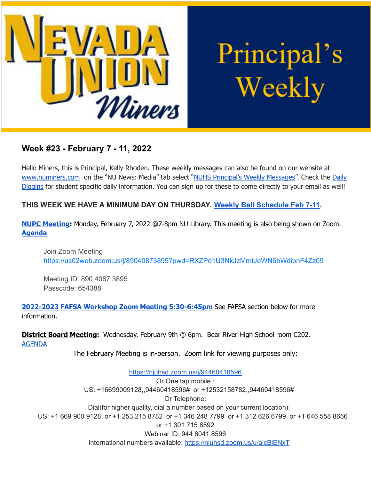

Principal's Weekly

# **Week #23 - February 7 - 11, 2022**

Hello Miners, this is Principal, Kelly Rhoden. These weekly messages can also be found on our website at [www.numiners.com](http://www.numiners.com) on the "NU News: Media" tab select "NUHS [Principal's](https://nevadaunion.njuhsd.com/NU-NewsMedia/NUHS-Principals-Weekly-Messages/index.html) Weekly Messages". Check the [Daily](https://nevadaunion.njuhsd.com/NU-NewsMedia/Daily-Diggins-Bulletin/index.html) [Diggins](https://nevadaunion.njuhsd.com/NU-NewsMedia/Daily-Diggins-Bulletin/index.html) for student specific daily information. You can sign up for these to come directly to your email as well!

## **THIS WEEK WE HAVE A MINIMUM DAY ON THURSDAY. Weekly [Bell Schedule Feb 7-11](https://nevadaunion.njuhsd.com/documents/Bell%20Schedules/21.22-THURSDAY-MINIMUM-DAY-BELL-SCHEDULE.pdf).**

**NUPC [Meeting](https://nevadaunion.njuhsd.com/Information/Parent-Club-NUPC/index.html):** Monday, February 7, 2022 @7-8pm NU Library. This meeting is also being shown on Zoom. **[Agenda](https://nevadaunion.njuhsd.com/documents/Parents-Club/2022-02.07-NUPC-Agenda.pdf)**

Join Zoom Meeting <https://us02web.zoom.us/j/89040873895?pwd=RXZPd1U3NkJzMmtJeWN6bWdibnF4Zz09>

Meeting ID: 890 4087 3895 Passcode: 654388

**2022-2023 FAFSA Workshop Zoom Meeting [5:30-6:45pm](https://nevadaunion.njuhsd.com/documents/Nevada%20Union%20HS/Counseling/22-23-FAFSA-Workshop-01.2022.pdf)** See FAFSA section below for more information.

**District Board Meeting:** Wednesday, February 9th @ 6pm. Bear River High School room C202. [AGENDA](https://simbli.eboardsolutions.com/SB_Meetings/ViewMeeting.aspx?S=36030345&MID=10412)

The February Meeting is in-person. Zoom link for viewing purposes only:

<https://njuhsd.zoom.us/j/94460418596> Or One tap mobile : US: +16699009128,,94460418596# or +12532158782,,94460418596# Or Telephone: Dial(for higher quality, dial a number based on your current location): US: +1 669 900 9128 or +1 253 215 8782 or +1 346 248 7799 or +1 312 626 6799 or +1 646 558 8656 or +1 301 715 8592 Webinar ID: 944 6041 8596 International numbers available: <https://njuhsd.zoom.us/u/alcBiENxT>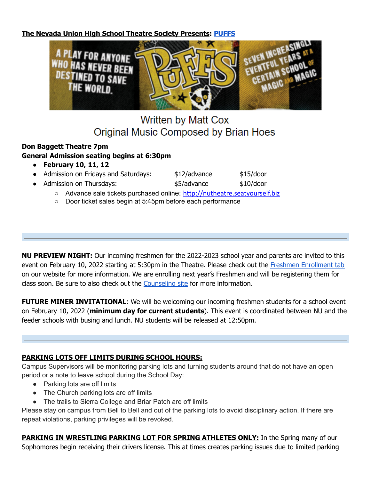**The Nevada Union High School Theatre Society Presents: [PUFFS](https://www.sites.google.com/a/njuhsd.com/n-u-t-s-nevada-union-theatre-society/home)**



# **Written by Matt Cox** Original Music Composed by Brian Hoes

## **Don Baggett Theatre 7pm General Admission seating begins at 6:30pm**

● **February 10, 11, 12**

|  | Admission on Fridays and Saturdays: | $$12$ /advance | \$15/door |
|--|-------------------------------------|----------------|-----------|
|--|-------------------------------------|----------------|-----------|

- Admission on Thursdays: <br>● Admission on Thursdays: <br>● \$5/advance \$10/door
	- Advance sale tickets purchased online: [http://nutheatre.seatyourself.biz](http://nutheatre.seatyourself.biz/)
	- Door ticket sales begin at 5:45pm before each performance

**NU PREVIEW NIGHT:** Our incoming freshmen for the 2022-2023 school year and parents are invited to this event on February 10, 2022 starting at 5:30pm in the Theatre. Please check out the Freshmen [Enrollment](https://nevadaunion.njuhsd.com/Enrollment/Freshman-Enrollment-2022-2023/index.html) tab on our website for more information. We are enrolling next year's Freshmen and will be registering them for class soon. Be sure to also check out the [Counseling](https://sites.google.com/njuhsd.com/nucounseling/counseling-home) site for more information.

**FUTURE MINER INVITATIONAL:** We will be welcoming our incoming freshmen students for a school event on February 10, 2022 (**minimum day for current students**). This event is coordinated between NU and the feeder schools with busing and lunch. NU students will be released at 12:50pm.

## **PARKING LOTS OFF LIMITS DURING SCHOOL HOURS:**

Campus Supervisors will be monitoring parking lots and turning students around that do not have an open period or a note to leave school during the School Day:

- Parking lots are off limits
- The Church parking lots are off limits
- The trails to Sierra College and Briar Patch are off limits

Please stay on campus from Bell to Bell and out of the parking lots to avoid disciplinary action. If there are repeat violations, parking privileges will be revoked.

**PARKING IN WRESTLING PARKING LOT FOR SPRING ATHLETES ONLY:** In the Spring many of our Sophomores begin receiving their drivers license. This at times creates parking issues due to limited parking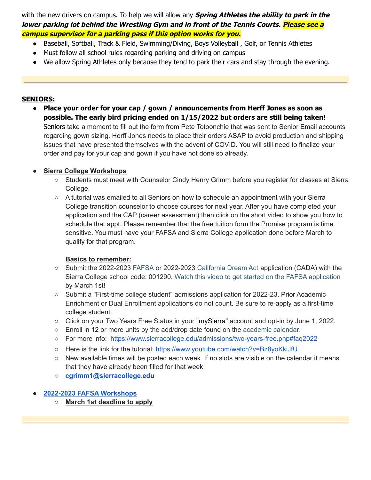with the new drivers on campus. To help we will allow any **Spring Athletes the ability to park in the lower parking lot behind the Wrestling Gym and in front of the Tennis Courts. Please see <sup>a</sup> campus supervisor for <sup>a</sup> parking pass if this option works for you.**

- Baseball, Softball, Track & Field, Swimming/Diving, Boys Volleyball , Golf, or Tennis Athletes
- Must follow all school rules regarding parking and driving on campus
- We allow Spring Athletes only because they tend to park their cars and stay through the evening.

#### **SENIORS:**

● **Place your order for your cap / gown / announcements from Herff Jones as soon as possible. The early bird pricing ended on 1/15/2022 but orders are still being taken!** Seniors take a moment to fill out the form from Pete Totoonchie that was sent to Senior Email accounts regarding gown sizing. Herff Jones needs to place their orders ASAP to avoid production and shipping issues that have presented themselves with the advent of COVID. You will still need to finalize your order and pay for your cap and gown if you have not done so already.

## **● Sierra College [Workshops](https://nevadaunion.njuhsd.com/documents/Nevada%20Union%20HS/Counseling/NUHS-Class-of-2022-Sierra-College-Workshops-01.2022.pdf)**

- Students must meet with Counselor Cindy Henry Grimm before you register for classes at Sierra College.
- A tutorial was emailed to all Seniors on how to schedule an appointment with your Sierra College transition counselor to choose courses for next year. After you have completed your application and the CAP (career assessment) then click on the short video to show you how to schedule that appt. Please remember that the free tuition form the Promise program is time sensitive. You must have your FAFSA and Sierra College application done before March to qualify for that program.

## **Basics to remember:**

- Submit the 2022-2023 [FAFSA](https://studentaid.gov/h/apply-for-aid/fafsa) or 2022-2023 [California](https://www.csac.ca.gov/california-dream-act) Dream Act application (CADA) with the Sierra College school code: 001290. Watch this video to get started on the FAFSA [application](https://youtu.be/Z_DM8ynOrDg) by March 1st!
- Submit a "First-time college student" admissions application for 2022-23. Prior Academic Enrichment or Dual Enrollment applications do not count. Be sure to re-apply as a first-time college student.
- Click on your Two Years Free Status in your "mySierra" account and opt-in by June 1, 2022.
- Enroll in 12 or more units by the add/drop date found on the [academic](https://www.trumba.com/calendars/sierra-college-events?trumbaEmbed=filterview%3Dacademic) calendar.
- For more info: <https://www.sierracollege.edu/admissions/two-years-free.php#faq2022>
- Here is the link for the tutorial: <https://www.youtube.com/watch?v=Bz8yoKkiJfU>
- New available times will be posted each week. If no slots are visible on the calendar it means that they have already been filled for that week.
- **○ cgrimm1@sierracollege.edu**

## **● 2022-2023 FAFSA [Workshops](https://nevadaunion.njuhsd.com/documents/Nevada%20Union%20HS/Counseling/22-23-FAFSA-Workshop-01.2022.pdf)**

**○ March 1st deadline to apply**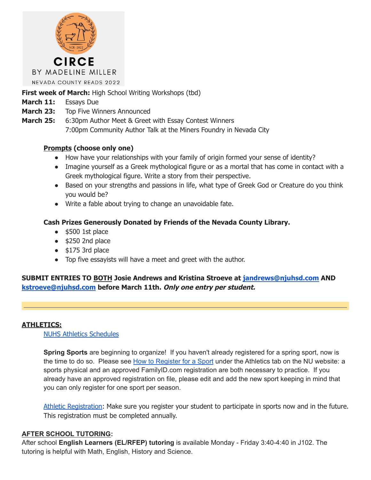

## **First week of March:** High School Writing Workshops (tbd)

- **March 11:** Essays Due
- **March 23:** Top Five Winners Announced
- **March 25:** 6:30pm Author Meet & Greet with Essay Contest Winners 7:00pm Community Author Talk at the Miners Foundry in Nevada City

#### **Prompts (choose only one)**

- How have your relationships with your family of origin formed your sense of identity?
- Imagine yourself as a Greek mythological figure or as a mortal that has come in contact with a Greek mythological figure. Write a story from their perspective.
- Based on your strengths and passions in life, what type of Greek God or Creature do you think you would be?
- Write a fable about trying to change an unavoidable fate.

#### **Cash Prizes Generously Donated by Friends of the Nevada County Library.**

- $•$  \$500 1st place
- $\bullet$  \$250 2nd place
- $\bullet$  \$175 3rd place
- Top five essayists will have a meet and greet with the author.

## **SUBMIT ENTRIES TO BOTH Josie Andrews and Kristina Stroeve at [jandrews@njuhsd.com](mailto:jandrews@njuhsd.com) AND [kstroeve@njuhsd.com](mailto:kstroeve@njuhsd.com) before March 11th. Only one entry per student.**

#### **ATHLETICS:**

NUHS Athletics [Schedules](https://nevadaunion.njuhsd.com/Athletics/Sports-Calendar--Schedules/index.html)

**Spring Sports** are beginning to organize! If you haven't already registered for a spring sport, now is the time to do so. Please see How to [Register](https://nevadaunion.njuhsd.com/Athletics/How-to-Register-For-a-Sport/index.html) for a Sport under the Athletics tab on the NU website: a sports physical and an approved FamilyID.com registration are both necessary to practice. If you already have an approved registration on file, please edit and add the new sport keeping in mind that you can only register for one sport per season.

Athletic [Registration:](https://nevadaunion.njuhsd.com/Athletics/How-to-Register-For-a-Sport/index.html) Make sure you register your student to participate in sports now and in the future. This registration must be completed annually.

#### **AFTER SCHOOL TUTORING:**

After school **English Learners (EL/RFEP) tutoring** is available Monday - Friday 3:40-4:40 in J102. The tutoring is helpful with Math, English, History and Science.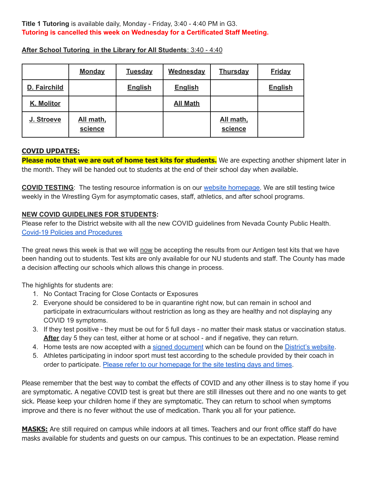#### **Title 1 Tutoring** is available daily, Monday - Friday, 3:40 - 4:40 PM in G3. **Tutoring is cancelled this week on Wednesday for a Certificated Staff Meeting.**

|              | <b>Monday</b>        | <b>Tuesday</b> | <b>Wednesday</b> | <b>Thursday</b>      | <b>Friday</b>  |
|--------------|----------------------|----------------|------------------|----------------------|----------------|
| D. Fairchild |                      | <b>English</b> | <b>English</b>   |                      | <b>English</b> |
| K. Molitor   |                      |                | <b>All Math</b>  |                      |                |
| J. Stroeve   | All math,<br>science |                |                  | All math,<br>science |                |

**After School Tutoring in the Library for All Students**: 3:40 - 4:40

#### **COVID UPDATES:**

**Please note that we are out of home test kits for students.** We are expecting another shipment later in the month. They will be handed out to students at the end of their school day when available.

**COVID TESTING**: The testing resource information is on our website [homepage.](https://nevadaunion.njuhsd.com/index.html) We are still testing twice weekly in the Wrestling Gym for asymptomatic cases, staff, athletics, and after school programs.

#### **NEW COVID GUIDELINES FOR STUDENTS:**

Please refer to the District website with all the new COVID guidelines from Nevada County Public Health. Covid-19 Policies and [Procedures](https://www.njuhsd.com/Covid-19/index.html)

The great news this week is that we will now be accepting the results from our Antigen test kits that we have been handing out to students. Test kits are only available for our NU students and staff. The County has made a decision affecting our schools which allows this change in process.

The highlights for students are:

- 1. No Contact Tracing for Close Contacts or Exposures
- 2. Everyone should be considered to be in quarantine right now, but can remain in school and participate in extracurriculars without restriction as long as they are healthy and not displaying any COVID 19 symptoms.
- 3. If they test positive they must be out for 5 full days no matter their mask status or vaccination status. **After** day 5 they can test, either at home or at school - and if negative, they can return.
- 4. Home tests are now accepted with a signed [document](https://www.njuhsd.com/documents/Covid/NJUHSD-Home-Test-Validation-Form.pdf) which can be found on the [District's](https://www.njuhsd.com/Covid-19/index.html) website.
- 5. Athletes participating in indoor sport must test according to the schedule provided by their coach in order to participate. Please refer to our [homepage](https://nevadaunion.njuhsd.com/) for the site testing days and times.

Please remember that the best way to combat the effects of COVID and any other illness is to stay home if you are symptomatic. A negative COVID test is great but there are still illnesses out there and no one wants to get sick. Please keep your children home if they are symptomatic. They can return to school when symptoms improve and there is no fever without the use of medication. Thank you all for your patience.

**MASKS:** Are still required on campus while indoors at all times. Teachers and our front office staff do have masks available for students and guests on our campus. This continues to be an expectation. Please remind